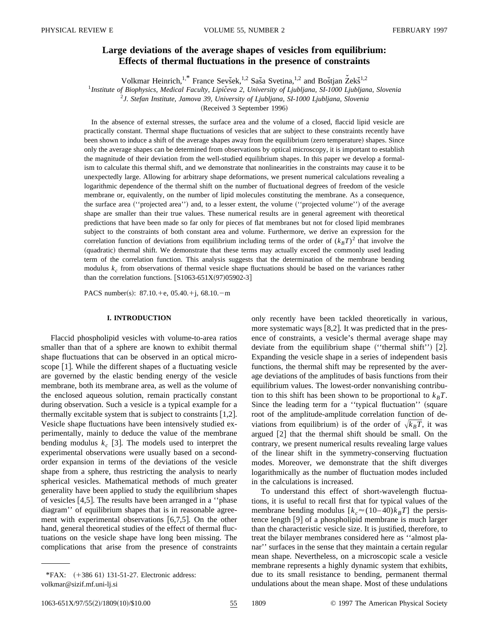# **Large deviations of the average shapes of vesicles from equilibrium: Effects of thermal fluctuations in the presence of constraints**

Volkmar Heinrich,<sup>1,\*</sup> France Sevšek,<sup>1,2</sup> Saša Svetina,<sup>1,2</sup> and Boštjan Žekš<sup>1,2</sup>

<sup>1</sup>Institute of Biophysics, Medical Faculty, Lipiceva 2, University of Ljubljana, SI-1000 Ljubljana, Slovenia

<sup>2</sup>*J. Stefan Institute, Jamova 39, University of Ljubljana, SI-1000 Ljubljana, Slovenia*

(Received 3 September 1996)

In the absence of external stresses, the surface area and the volume of a closed, flaccid lipid vesicle are practically constant. Thermal shape fluctuations of vesicles that are subject to these constraints recently have been shown to induce a shift of the average shapes away from the equilibrium (zero temperature) shapes. Since only the average shapes can be determined from observations by optical microscopy, it is important to establish the magnitude of their deviation from the well-studied equilibrium shapes. In this paper we develop a formalism to calculate this thermal shift, and we demonstrate that nonlinearities in the constraints may cause it to be unexpectedly large. Allowing for arbitrary shape deformations, we present numerical calculations revealing a logarithmic dependence of the thermal shift on the number of fluctuational degrees of freedom of the vesicle membrane or, equivalently, on the number of lipid molecules constituting the membrane. As a consequence, the surface area ("projected area'') and, to a lesser extent, the volume ("projected volume") of the average shape are smaller than their true values. These numerical results are in general agreement with theoretical predictions that have been made so far only for pieces of flat membranes but not for closed lipid membranes subject to the constraints of both constant area and volume. Furthermore, we derive an expression for the correlation function of deviations from equilibrium including terms of the order of  $(k_BT)^2$  that involve the (quadratic) thermal shift. We demonstrate that these terms may actually exceed the commonly used leading term of the correlation function. This analysis suggests that the determination of the membrane bending modulus  $k_c$  from observations of thermal vesicle shape fluctuations should be based on the variances rather than the correlation functions.  $[S1063-651X(97)05902-3]$ 

PACS number(s):  $87.10.+e$ ,  $05.40.+j$ ,  $68.10.-m$ 

#### **I. INTRODUCTION**

Flaccid phospholipid vesicles with volume-to-area ratios smaller than that of a sphere are known to exhibit thermal shape fluctuations that can be observed in an optical microscope  $[1]$ . While the different shapes of a fluctuating vesicle are governed by the elastic bending energy of the vesicle membrane, both its membrane area, as well as the volume of the enclosed aqueous solution, remain practically constant during observation. Such a vesicle is a typical example for a thermally excitable system that is subject to constraints  $|1,2|$ . Vesicle shape fluctuations have been intensively studied experimentally, mainly to deduce the value of the membrane bending modulus  $k_c$  [3]. The models used to interpret the experimental observations were usually based on a secondorder expansion in terms of the deviations of the vesicle shape from a sphere, thus restricting the analysis to nearly spherical vesicles. Mathematical methods of much greater generality have been applied to study the equilibrium shapes of vesicles  $[4,5]$ . The results have been arranged in a "phase" diagram'' of equilibrium shapes that is in reasonable agreement with experimental observations  $[6,7,5]$ . On the other hand, general theoretical studies of the effect of thermal fluctuations on the vesicle shape have long been missing. The complications that arise from the presence of constraints only recently have been tackled theoretically in various, more systematic ways  $[8,2]$ . It was predicted that in the presence of constraints, a vesicle's thermal average shape may deviate from the equilibrium shape ("thermal shift") [2]. Expanding the vesicle shape in a series of independent basis functions, the thermal shift may be represented by the average deviations of the amplitudes of basis functions from their equilibrium values. The lowest-order nonvanishing contribution to this shift has been shown to be proportional to  $k_B T$ . Since the leading term for a "typical fluctuation" (square root of the amplitude-amplitude correlation function of deviations from equilibrium) is of the order of  $\sqrt{k_B T}$ , it was argued  $[2]$  that the thermal shift should be small. On the contrary, we present numerical results revealing large values of the linear shift in the symmetry-conserving fluctuation modes. Moreover, we demonstrate that the shift diverges logarithmically as the number of fluctuation modes included in the calculations is increased.

To understand this effect of short-wavelength fluctuations, it is useful to recall first that for typical values of the membrane bending modulus  $[k_c \approx (10-40)k_BT]$  the persistence length  $|9|$  of a phospholipid membrane is much larger than the characteristic vesicle size. It is justified, therefore, to treat the bilayer membranes considered here as ''almost planar'' surfaces in the sense that they maintain a certain regular mean shape. Nevertheless, on a microscopic scale a vesicle membrane represents a highly dynamic system that exhibits, due to its small resistance to bending, permanent thermal undulations about the mean shape. Most of these undulations

 $*FAX: (+386 61) 131-51-27.$  Electronic address: volkmar@sizif.mf.uni-lj.si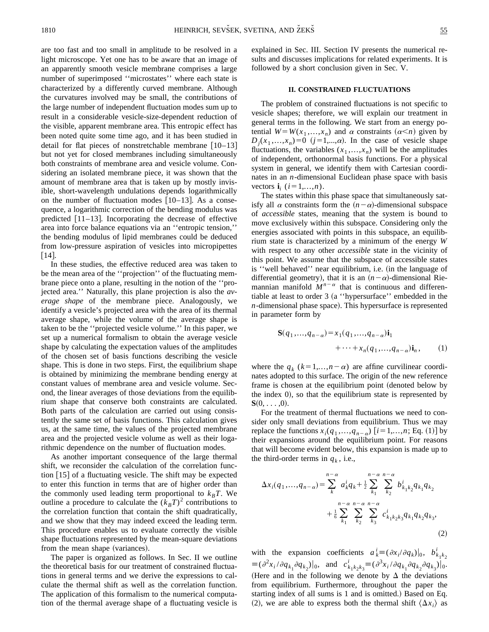are too fast and too small in amplitude to be resolved in a light microscope. Yet one has to be aware that an image of an apparently smooth vesicle membrane comprises a large number of superimposed ''microstates'' where each state is characterized by a differently curved membrane. Although the curvatures involved may be small, the contributions of the large number of independent fluctuation modes sum up to result in a considerable vesicle-size-dependent reduction of the visible, apparent membrane area. This entropic effect has been noted quite some time ago, and it has been studied in detail for flat pieces of nonstretchable membrane  $[10-13]$ but not yet for closed membranes including simultaneously both constraints of membrane area and vesicle volume. Considering an isolated membrane piece, it was shown that the amount of membrane area that is taken up by mostly invisible, short-wavelength undulations depends logarithmically on the number of fluctuation modes  $[10-13]$ . As a consequence, a logarithmic correction of the bending modulus was predicted  $[11–13]$ . Incorporating the decrease of effective area into force balance equations via an ''entropic tension,'' the bending modulus of lipid membranes could be deduced from low-pressure aspiration of vesicles into micropipettes  $[14]$ .

In these studies, the effective reduced area was taken to be the mean area of the ''projection'' of the fluctuating membrane piece onto a plane, resulting in the notion of the ''projected area.'' Naturally, this plane projection is also the *average shape* of the membrane piece. Analogously, we identify a vesicle's projected area with the area of its thermal average shape, while the volume of the average shape is taken to be the ''projected vesicle volume.'' In this paper, we set up a numerical formalism to obtain the average vesicle shape by calculating the expectation values of the amplitudes of the chosen set of basis functions describing the vesicle shape. This is done in two steps. First, the equilibrium shape is obtained by minimizing the membrane bending energy at constant values of membrane area and vesicle volume. Second, the linear averages of those deviations from the equilibrium shape that conserve both constraints are calculated. Both parts of the calculation are carried out using consistently the same set of basis functions. This calculation gives us, at the same time, the values of the projected membrane area and the projected vesicle volume as well as their logarithmic dependence on the number of fluctuation modes.

As another important consequence of the large thermal shift, we reconsider the calculation of the correlation function  $\lceil 15 \rceil$  of a fluctuating vesicle. The shift may be expected to enter this function in terms that are of higher order than the commonly used leading term proportional to  $k_B T$ . We outline a procedure to calculate the  $(k_B T)^2$  contributions to the correlation function that contain the shift quadratically, and we show that they may indeed exceed the leading term. This procedure enables us to evaluate correctly the visible shape fluctuations represented by the mean-square deviations from the mean shape (variances).

The paper is organized as follows. In Sec. II we outline the theoretical basis for our treatment of constrained fluctuations in general terms and we derive the expressions to calculate the thermal shift as well as the correlation function. The application of this formalism to the numerical computation of the thermal average shape of a fluctuating vesicle is explained in Sec. III. Section IV presents the numerical results and discusses implications for related experiments. It is followed by a short conclusion given in Sec. V.

## **II. CONSTRAINED FLUCTUATIONS**

The problem of constrained fluctuations is not specific to vesicle shapes; therefore, we will explain our treatment in general terms in the following. We start from an energy potential  $W = W(x_1, ..., x_n)$  and  $\alpha$  constraints  $(\alpha \leq n)$  given by  $D_i(x_1, \ldots, x_n)=0$   $(j=1,\ldots, \alpha)$ . In the case of vesicle shape fluctuations, the variables  $(x_1, \ldots, x_n)$  will be the amplitudes of independent, orthonormal basis functions. For a physical system in general, we identify them with Cartesian coordinates in an *n*-dimensional Euclidean phase space with basis vectors  $\mathbf{i}_i$  ( $i=1,\ldots,n$ ).

The states within this phase space that simultaneously satisfy all  $\alpha$  constraints form the  $(n-\alpha)$ -dimensional subspace of *accessible* states, meaning that the system is bound to move exclusively within this subspace. Considering only the energies associated with points in this subspace, an equilibrium state is characterized by a minimum of the energy *W* with respect to any other *accessible* state in the vicinity of this point. We assume that the subspace of accessible states is "well behaved" near equilibrium, i.e. (in the language of differential geometry), that it is an  $(n - \alpha)$ -dimensional Riemannian manifold  $M^{n-\alpha}$  that is continuous and differentiable at least to order  $3$  (a ''hypersurface'' embedded in the *n*-dimensional phase space). This hypersurface is represented in parameter form by

$$
\mathbf{S}(q_1,...,q_{n-\alpha}) = x_1(q_1,...,q_{n-\alpha})\mathbf{i}_1 + \cdots + x_n(q_1,...,q_{n-\alpha})\mathbf{i}_n, \qquad (1)
$$

where the  $q_k$  ( $k=1,\ldots,n-\alpha$ ) are affine curvilinear coordinates adopted to this surface. The origin of the new reference frame is chosen at the equilibrium point (denoted below by the index  $0$ ), so that the equilibrium state is represented by  ${\bf S}(0, \ldots, 0).$ 

For the treatment of thermal fluctuations we need to consider only small deviations from equilibrium. Thus we may replace the functions  $x_i(q_1,...,q_{n-\alpha})$   $[i=1,...,n;$  Eq. (1) by their expansions around the equilibrium point. For reasons that will become evident below, this expansion is made up to the third-order terms in  $q_k$ , i.e.,

$$
\Delta x_i(q_1,...,q_{n-\alpha}) = \sum_{k}^{n-\alpha} a_k^i q_k + \frac{1}{2} \sum_{k_1}^{n-\alpha} \sum_{k_2}^{n-\alpha} b_{k_1k_2}^i q_{k_1} q_{k_2}
$$
  
+ 
$$
\frac{1}{6} \sum_{k_1}^{n-\alpha} \sum_{k_2}^{n-\alpha} \sum_{k_3}^{n-\alpha} c_{k_1k_2k_3}^i q_{k_1} q_{k_2} q_{k_3},
$$
(2)

with the expansion coefficients  $a_k^i \equiv (\partial x_i/\partial q_k)|_0$ ,  $b_{k_1k_2}^i$  $\equiv (\partial^2 x_i / \partial q_{k_1} \partial q_{k_2})|_0$ , and  $c^i_{k_1 k_2 k_3} \equiv (\partial^3 x_i / \partial q_{k_1} \partial q_{k_2} \partial q_{k_3})|_0$ . (Here and in the following we denote by  $\Delta$  the deviations from equilibrium. Furthermore, throughout the paper the starting index of all sums is 1 and is omitted.) Based on Eq. (2), we are able to express both the thermal shift  $\langle \Delta x_i \rangle$  as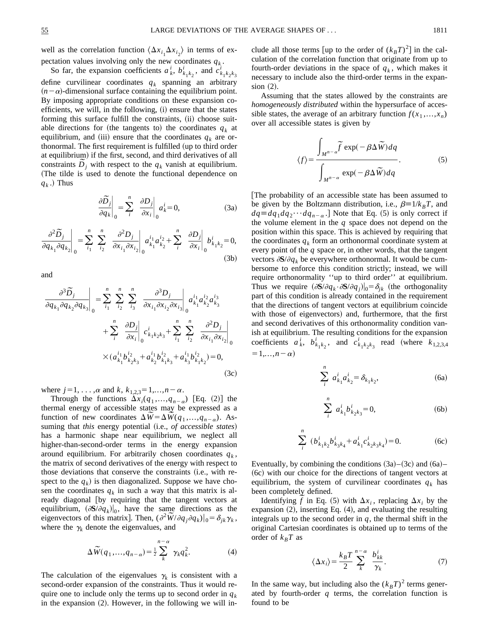well as the correlation function  $\langle \Delta x_{i_1} \Delta x_{i_2} \rangle$  in terms of expectation values involving only the new coordinates  $q_k$ .

So far, the expansion coefficients  $a_k^i$ ,  $b_{k_1k_2}^i$ , and  $c_{k_1k_2k_3}^i$ define curvilinear coordinates *qk* spanning an arbitrary  $(n-\alpha)$ -dimensional surface containing the equilibrium point. By imposing appropriate conditions on these expansion coefficients, we will, in the following,  $(i)$  ensure that the states forming this surface fulfill the constraints, (ii) choose suitable directions for (the tangents to) the coordinates  $q_k$  at equilibrium, and (iii) ensure that the coordinates  $q_k$  are orthonormal. The first requirement is fulfilled (up to third order at equilibrium) if the first, second, and third derivatives of all at equilibrium) if the first, second, and third derivatives of all constraints  $\tilde{D}_j$  with respect to the  $q_k$  vanish at equilibrium. (The tilde is used to denote the functional dependence on  $q_k$ .) Thus

$$
\frac{\partial \widetilde{D}_j}{\partial q_k}\bigg|_0 = \sum_i^n \frac{\partial D_j}{\partial x_i}\bigg|_0 a_k^i = 0,
$$
\n(3a)

$$
\frac{\partial^2 \widetilde{D}_j}{\partial q_{k_1} \partial q_{k_2}}\bigg|_0 = \sum_{i_1}^n \sum_{i_2}^n \frac{\partial^2 D_j}{\partial x_{i_1} \partial x_{i_2}} \bigg|_0 a_{k_1}^{i_1} a_{k_2}^{i_2} + \sum_{i}^n \frac{\partial D_j}{\partial x_i} \bigg|_0 b_{k_1 k_2}^i = 0,
$$
\n(3b)

and

$$
\frac{\partial^3 \widetilde{D}_j}{\partial q_{k_1} \partial q_{k_2} \partial q_{k_3}}\Big|_0 = \sum_{i_1}^n \sum_{i_2}^n \sum_{i_3}^n \frac{\partial^3 D_j}{\partial x_{i_1} \partial x_{i_2} \partial x_{i_3}}\Big|_0 a_{k_1}^{i_1} a_{k_2}^{i_2} a_{k_3}^{i_3} + \sum_{i_1}^n \frac{\partial D_j}{\partial x_i}\Big|_0 c_{k_1 k_2 k_3}^i + \sum_{i_1}^n \sum_{i_2}^n \frac{\partial^2 D_j}{\partial x_{i_1} \partial x_{i_2}}\Big|_0
$$
  
 
$$
\times (a_{k_1}^{i_1} b_{k_2 k_3}^{i_2} + a_{k_2}^{i_1} b_{k_1 k_3}^{i_2} + a_{k_3}^{i_1} b_{k_1 k_2}^{i_2}) = 0,
$$
 (3c)

where  $j=1, ..., \alpha$  and  $k, k_{1,2,3}=1,...,n-\alpha$ .

Through the functions  $\Delta x_i(q_1, \ldots, q_{n-\alpha})$  [Eq. (2)] the thermal energy of accessible states may be expressed as a function of new coordinates  $\Delta W = \Delta W(q_1, \ldots, q_{n-\alpha})$ . Assuming that *this* energy potential (i.e., *of accessible states*) has a harmonic shape near equilibrium, we neglect all higher-than-second-order terms in the energy expansion around equilibrium. For arbitrarily chosen coordinates  $q_k$ , the matrix of second derivatives of the energy with respect to those deviations that conserve the constraints (i.e., with respect to the  $q_k$ ) is then diagonalized. Suppose we have chosen the coordinates  $q_k$  in such a way that this matrix is already diagonal [by requiring that the tangent vectors at equilibrium,  $(\partial S/\partial q_k)|_0$ , have the same directions as the equilibrium,  $(\partial \mathbf{S}/\partial q_k)|_0$ , have the same directions as the eigenvectors of this matrix]. Then,  $(\partial^2 \widetilde{W}/\partial q_j \partial q_k)|_0 = \delta_{jk} \gamma_k$ , where the  $\gamma_k$  denote the eigenvalues, and

$$
\Delta \widetilde{W}(q_1,\ldots,q_{n-\alpha}) = \frac{1}{2} \sum_{k}^{n-\alpha} \gamma_k q_k^2.
$$
 (4)

The calculation of the eigenvalues  $\gamma_k$  is consistent with a second-order expansion of the constraints. Thus it would require one to include only the terms up to second order in  $q_k$ in the expansion  $(2)$ . However, in the following we will in-

clude all those terms [up to the order of  $(k_B T)^2$ ] in the calculation of the correlation function that originate from up to fourth-order deviations in the space of  $q_k$ , which makes it necessary to include also the third-order terms in the expan $sion (2).$ 

Assuming that the states allowed by the constraints are *homogeneously distributed* within the hypersurface of accessible states, the average of an arbitrary function  $f(x_1, \ldots, x_n)$ over all accessible states is given by

$$
\langle f \rangle = \frac{\int_{M^{n-\alpha}} \widetilde{f} \exp(-\beta \Delta \widetilde{W}) dq}{\int_{M^{n-\alpha}} \exp(-\beta \Delta \widetilde{W}) dq}.
$$
 (5)

The probability of an accessible state has been assumed to be given by the Boltzmann distribution, i.e.,  $\beta = 1/k_B T$ , and  $dq \equiv dq_1 dq_2 \cdots dq_{n-\alpha}$ .] Note that Eq. (5) is only correct if the volume element in the *q* space does not depend on the position within this space. This is achieved by requiring that the coordinates  $q_k$  form an orthonormal coordinate system at every point of the *q* space or, in other words, that the tangent vectors  $\partial S/\partial q_k$  be everywhere orthonormal. It would be cumbersome to enforce this condition strictly; instead, we will require orthonormality ''up to third order'' at equilibrium. Thus we require  $(\partial \mathbf{S}/\partial q_k \cdot \partial \mathbf{S}/\partial q_j)|_0 = \delta_{jk}$  (the orthogonality part of this condition is already contained in the requirement that the directions of tangent vectors at equilibrium coincide with those of eigenvectors) and, furthermore, that the first and second derivatives of this orthonormality condition vanish at equilibrium. The resulting conditions for the expansion coefficients  $a_k^i$ ,  $b_{k_1k_2}^i$ , and  $c_{k_1k_2k_3}^i$  read (where  $k_{1,2,3,4}$  $=1,\ldots,n-\alpha$ 

$$
\sum_{i}^{n} a_{k_1}^{i} a_{k_2}^{i} = \delta_{k_1 k_2},
$$
 (6a)

$$
\sum_{i}^{n} a_{k_1}^{i} b_{k_2 k_3}^{i} = 0,
$$
 (6b)

$$
\sum_{i}^{n} (b_{k_1k_2}^{i} b_{k_3k_4}^{i} + a_{k_1}^{i} c_{k_2k_3k_4}^{i}) = 0.
$$
 (6c)

Eventually, by combining the conditions  $(3a)$ – $(3c)$  and  $(6a)$ – ~6c! with our choice for the directions of tangent vectors at equilibrium, the system of curvilinear coordinates  $q_k$  has been completely defined.

en completely defined.<br>Identifying *f* in Eq. (5) with  $\Delta x_i$ , replacing  $\Delta x_i$  by the expansion  $(2)$ , inserting Eq.  $(4)$ , and evaluating the resulting integrals up to the second order in  $q$ , the thermal shift in the original Cartesian coordinates is obtained up to terms of the order of  $k_BT$  as

$$
\langle \Delta x_i \rangle = \frac{k_B T}{2} \sum_{k}^{n-\alpha} \frac{b_{kk}^i}{\gamma_k}.
$$
 (7)

In the same way, but including also the  $(k_B T)^2$  terms generated by fourth-order *q* terms, the correlation function is found to be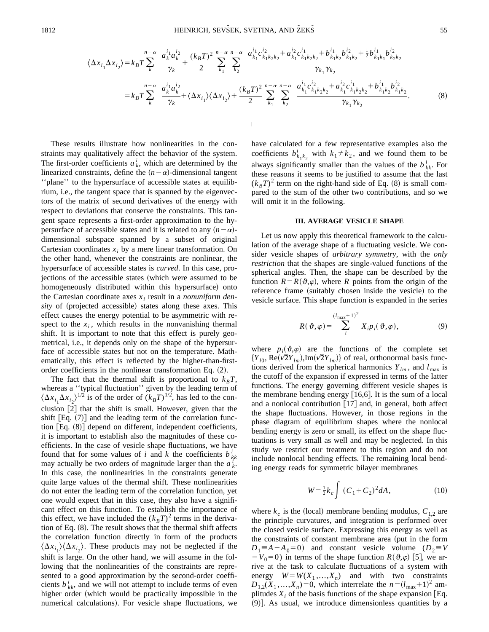^D*xi*<sup>1</sup> D*xi*<sup>2</sup> &5*kBT*( *k <sup>n</sup>*2<sup>a</sup> *ak i*1*ak i*2 g*k* 1 ~*kBT*! 2 <sup>2</sup> ( *k*1 *n*2<sup>a</sup> ( *k*2 *<sup>n</sup>*2<sup>a</sup> *ak*<sup>1</sup> *<sup>i</sup>*<sup>1</sup> *ck*1*k*2*k*<sup>2</sup> *<sup>i</sup>*<sup>2</sup> <sup>1</sup>*ak*<sup>1</sup> *<sup>i</sup>*<sup>2</sup> *ck*1*k*2*k*<sup>2</sup> *<sup>i</sup>*<sup>1</sup> <sup>1</sup>*bk*1*k*<sup>2</sup> *<sup>i</sup>*<sup>1</sup> *bk*1*k*<sup>2</sup> *<sup>i</sup>*<sup>2</sup> 1 <sup>1</sup> <sup>2</sup> *bk*1*k*<sup>1</sup> *<sup>i</sup>*<sup>1</sup> *bk*2*k*<sup>2</sup> *i*2 <sup>g</sup>*k*<sup>1</sup> <sup>g</sup>*k*<sup>2</sup> <sup>5</sup>*kBT*( *k <sup>n</sup>*2<sup>a</sup> *ak i*1*ak i*2 g*k* 1^D*xi*<sup>1</sup> &^D*xi*<sup>2</sup> &1 ~*kBT*! 2 <sup>2</sup> ( *k*1 *n*2<sup>a</sup> ( *k*2 *<sup>n</sup>*2<sup>a</sup> *ak*<sup>1</sup> *<sup>i</sup>*<sup>1</sup> *ck*1*k*2*k*<sup>2</sup> *<sup>i</sup>*<sup>2</sup> <sup>1</sup>*ak*<sup>1</sup> *<sup>i</sup>*<sup>2</sup> *ck*1*k*2*k*<sup>2</sup> *<sup>i</sup>*<sup>1</sup> <sup>1</sup>*bk*1*k*<sup>2</sup> *<sup>i</sup>*<sup>1</sup> *bk*1*k*<sup>2</sup> *i*2 <sup>g</sup>*k*<sup>1</sup> <sup>g</sup>*k*<sup>2</sup> . ~8!

These results illustrate how nonlinearities in the constraints may qualitatively affect the behavior of the system. The first-order coefficients  $a_k^i$ , which are determined by the linearized constraints, define the  $(n - \alpha)$ -dimensional tangent ''plane'' to the hypersurface of accessible states at equilibrium, i.e., the tangent space that is spanned by the eigenvectors of the matrix of second derivatives of the energy with respect to deviations that conserve the constraints. This tangent space represents a first-order approximation to the hypersurface of accessible states and it is related to any  $(n - \alpha)$ dimensional subspace spanned by a subset of original Cartesian coordinates *x<sub>i</sub>* by a mere linear transformation. On the other hand, whenever the constraints are nonlinear, the hypersurface of accessible states is *curved*. In this case, projections of the accessible states (which were assumed to be homogeneously distributed within this hypersurface) onto the Cartesian coordinate axes *xi* result in a *nonuniform density* of (projected accessible) states along these axes. This effect causes the energy potential to be asymmetric with respect to the  $x_i$ , which results in the nonvanishing thermal shift. It is important to note that this effect is purely geometrical, i.e., it depends only on the shape of the hypersurface of accessible states but not on the temperature. Mathematically, this effect is reflected by the higher-than-firstorder coefficients in the nonlinear transformation Eq.  $(2)$ .

The fact that the thermal shift is proportional to  $k_B T$ , whereas a ''typical fluctuation'' given by the leading term of  $\langle \Delta x_{i_1} \Delta x_{i_2} \rangle^{1/2}$  is of the order of  $(k_B T)^{1/2}$ , has led to the conclusion  $[2]$  that the shift is small. However, given that the shift  $[Eq. (7)]$  and the leading term of the correlation function  $[Eq. (8)]$  depend on different, independent coefficients, it is important to establish also the magnitudes of these coefficients. In the case of vesicle shape fluctuations, we have found that for some values of *i* and *k* the coefficients  $b_{kk}$ may actually be two orders of magnitude larger than the  $a_k^i$ . In this case, the nonlinearities in the constraints generate quite large values of the thermal shift. These nonlinearities do not enter the leading term of the correlation function, yet one would expect that in this case, they also have a significant effect on this function. To establish the importance of this effect, we have included the  $(k_B T)^2$  terms in the derivation of Eq.  $(8)$ . The result shows that the thermal shift affects the correlation function directly in form of the products  $\langle \Delta x_{i_1} \rangle \langle \Delta x_{i_2} \rangle$ . These products may not be neglected if the shift is large. On the other hand, we will assume in the following that the nonlinearities of the constraints are represented to a good approximation by the second-order coefficients  $b_{kk}^i$ , and we will not attempt to include terms of even higher order (which would be practically impossible in the numerical calculations). For vesicle shape fluctuations, we have calculated for a few representative examples also the coefficients  $b_{k_1k_2}^i$  with  $k_1 \neq k_2$ , and we found them to be always significantly smaller than the values of the  $b_{kk}^{i}$ . For these reasons it seems to be justified to assume that the last  $(k_B T)^2$  term on the right-hand side of Eq. (8) is small compared to the sum of the other two contributions, and so we will omit it in the following.

### **III. AVERAGE VESICLE SHAPE**

Let us now apply this theoretical framework to the calculation of the average shape of a fluctuating vesicle. We consider vesicle shapes of *arbitrary symmetry*, with the *only restriction* that the shapes are single-valued functions of the spherical angles. Then, the shape can be described by the function  $R = R(\vartheta, \varphi)$ , where *R* points from the origin of the reference frame (suitably chosen inside the vesicle) to the vesicle surface. This shape function is expanded in the series

$$
R(\vartheta,\varphi) = \sum_{i}^{(l_{\max}+1)^2} X_i p_i(\vartheta,\varphi), \tag{9}
$$

where  $p_i(\theta,\varphi)$  are the functions of the complete set  ${Y}_{l0}$ , Re( $\sqrt{2}Y_{lm}$ ),Im( $\sqrt{2}Y_{lm}$ )} of real, orthonormal basis functions derived from the spherical harmonics  $Y_{lm}$ , and  $l_{max}$  is the cutoff of the expansion if expressed in terms of the latter functions. The energy governing different vesicle shapes is the membrane bending energy  $[16,6]$ . It is the sum of a local and a nonlocal contribution  $[17]$  and, in general, both affect the shape fluctuations. However, in those regions in the phase diagram of equilibrium shapes where the nonlocal bending energy is zero or small, its effect on the shape fluctuations is very small as well and may be neglected. In this study we restrict our treatment to this region and do not include nonlocal bending effects. The remaining local bending energy reads for symmetric bilayer membranes

$$
W = \frac{1}{2}k_c \int (C_1 + C_2)^2 dA,
$$
 (10)

where  $k_c$  is the (local) membrane bending modulus,  $C_{1,2}$  are the principle curvatures, and integration is performed over the closed vesicle surface. Expressing this energy as well as the constraints of constant membrane area (put in the form  $D_1 \equiv A - A_0 = 0$ ) and constant vesicle volume  $(D_2 \equiv V)$  $-V_0=0$ ) in terms of the shape function  $R(\vartheta,\varphi)$  [5], we arrive at the task to calculate fluctuations of a system with energy  $W = W(X_1, ..., X_n)$  and with two constraints  $D_{1,2}(X_1,...,X_n) = 0$ , which interrelate the  $n = (l_{\text{max}}+1)^2$  amplitudes  $X_i$  of the basis functions of the shape expansion [Eq.  $(9)$ ]. As usual, we introduce dimensionless quantities by a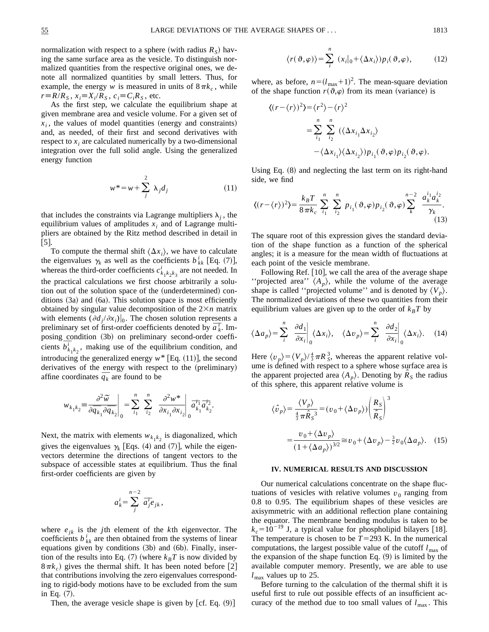normalization with respect to a sphere (with radius  $R<sub>S</sub>$ ) having the same surface area as the vesicle. To distinguish normalized quantities from the respective original ones, we denote all normalized quantities by small letters. Thus, for example, the energy *w* is measured in units of  $8\pi k_c$ , while  $r \equiv R/R<sub>S</sub>$ ,  $x<sub>i</sub> \equiv X<sub>i</sub>/R<sub>S</sub>$ ,  $c<sub>i</sub> \equiv C<sub>i</sub>R<sub>S</sub>$ , etc.

As the first step, we calculate the equilibrium shape at given membrane area and vesicle volume. For a given set of  $x_i$ , the values of model quantities (energy and constraints) and, as needed, of their first and second derivatives with respect to  $x_i$  are calculated numerically by a two-dimensional integration over the full solid angle. Using the generalized energy function

$$
w^* = w + \sum_{j}^{2} \lambda_j d_j \tag{11}
$$

that includes the constraints via Lagrange multipliers  $\lambda_i$ , the equilibrium values of amplitudes  $x_i$  and of Lagrange multipliers are obtained by the Ritz method described in detail in  $\lceil 5 \rceil$ .

To compute the thermal shift  $\langle \Delta x_i \rangle$ , we have to calculate the eigenvalues  $\gamma_k$  as well as the coefficients  $b_{kk}^i$  [Eq. (7)], whereas the third-order coefficients  $c_{k_1k_2k_3}^i$  are not needed. In the practical calculations we first choose arbitrarily a solution out of the solution space of the (underdetermined) conditions  $(3a)$  and  $(6a)$ . This solution space is most efficiently obtained by singular value decomposition of the  $2\times n$  matrix with elements  $(\partial d_j/\partial x_i)|_0$ . The chosen solution represents a with elements  $(\partial d_j/\partial x_i)|_0$ . The chosen solution represents a preliminary set of first-order coefficients denoted by  $\overline{a}_k^i$ . Imposing condition (3b) on preliminary second-order coeffi-<br>cients  $\overline{b}_k^i{}_k$ , making use of the equilibrium condition, and cients  $\overline{b}^i_{k_1k_2}$ , making use of the equilibrium condition, and introducing the generalized energy  $w^*$  [Eq.  $(11)$ ], the second derivatives of the energy with respect to the (preliminary) derivatives of the energy with resperation coordinates  $\overline{q}_k$  are found to be

$$
w_{k_1k_2} = \frac{\partial^2 \widetilde{w}}{\partial \overline{q}_{k_1} \partial \overline{q}_{k_2}}\bigg|_0 = \sum_{i_1}^n \sum_{i_2}^n \frac{\partial^2 w^*}{\partial x_{i_1} \partial x_{i_2}}\bigg|_0 \overline{a}_{k_1}^{i_1} \overline{a}_{k_2}^{i_2}.
$$

Next, the matrix with elements  $w_{k_1k_2}$  is diagonalized, which gives the eigenvalues  $\gamma_k$  [Eqs. (4) and (7)], while the eigenvectors determine the directions of tangent vectors to the subspace of accessible states at equilibrium. Thus the final first-order coefficients are given by

$$
a_k^i = \sum_j^{n-2} \overline{a}_j^i e_{jk},
$$

where  $e_{ik}$  is the *j*th element of the *k*th eigenvector. The coefficients  $b_{kk}^{i}$  are then obtained from the systems of linear equations given by conditions  $(3b)$  and  $(6b)$ . Finally, insertion of the results into Eq.  $(7)$  (where  $k_B T$  is now divided by  $8\pi k_c$ ) gives the thermal shift. It has been noted before [2] that contributions involving the zero eigenvalues corresponding to rigid-body motions have to be excluded from the sum in Eq.  $(7)$ .

Then, the average vesicle shape is given by  $[cf. Eq. (9)]$ 

$$
\langle r(\vartheta,\varphi) \rangle = \sum_{i}^{n} (x_i|_0 + \langle \Delta x_i \rangle) p_i(\vartheta,\varphi), \quad (12)
$$

where, as before,  $n=(l_{\text{max}}+1)^2$ . The mean-square deviation of the shape function  $r(\vartheta,\varphi)$  from its mean (variance) is

$$
\langle (r - \langle r \rangle)^2 \rangle = \langle r^2 \rangle - \langle r \rangle^2
$$
  
= 
$$
\sum_{i_1}^n \sum_{i_2}^n (\langle \Delta x_{i_1} \Delta x_{i_2} \rangle - \langle \Delta x_{i_1} \rangle \langle \Delta x_{i_2} \rangle) p_{i_1}(\vartheta, \varphi) p_{i_2}(\vartheta, \varphi).
$$

Using Eq.  $(8)$  and neglecting the last term on its right-hand side, we find

$$
\langle (r - \langle r \rangle)^2 \rangle = \frac{k_B T}{8 \pi k_c} \sum_{i_1}^n \sum_{i_2}^n p_{i_1}(\vartheta, \varphi) p_{i_2}(\vartheta, \varphi) \sum_{k}^{n-2} \frac{a_k^{i_1} a_k^{i_2}}{\gamma_k}.
$$
\n(13)

The square root of this expression gives the standard deviation of the shape function as a function of the spherical angles; it is a measure for the mean width of fluctuations at each point of the vesicle membrane.

Following Ref. [10], we call the area of the average shape "projected area"  $\langle A_p \rangle$ , while the volume of the average shape is called "projected volume" and is denoted by  $\langle V_p \rangle$ . The normalized deviations of these two quantities from their equilibrium values are given up to the order of  $k_B T$  by

$$
\langle \Delta a_p \rangle = \sum_{i}^{n} \left| \frac{\partial d_1}{\partial x_i} \right|_0 \langle \Delta x_i \rangle, \quad \langle \Delta v_p \rangle = \sum_{i}^{n} \left| \frac{\partial d_2}{\partial x_i} \right|_0 \langle \Delta x_i \rangle. \quad (14)
$$

Here  $\langle v_p \rangle = \langle V_p \rangle / \frac{4}{3} \pi R_S^3$ , whereas the apparent relative volume is defined with respect to a sphere whose surface area is the apparent projected area  $\langle A_p \rangle$ . Denoting by  $\hat{R}_s$  the radius of this sphere, this apparent relative volume is

$$
\langle \hat{v}_p \rangle = \frac{\langle V_p \rangle}{\frac{4}{3} \pi \hat{R}_S^3} = (v_0 + \langle \Delta v_p \rangle) \left( \frac{R_S}{\hat{R}_S} \right)^3
$$

$$
= \frac{v_0 + \langle \Delta v_p \rangle}{\left( 1 + \langle \Delta a_p \rangle \right)^{3/2}} \approx v_0 + \langle \Delta v_p \rangle - \frac{3}{2} v_0 \langle \Delta a_p \rangle. \quad (15)
$$

#### **IV. NUMERICAL RESULTS AND DISCUSSION**

Our numerical calculations concentrate on the shape fluctuations of vesicles with relative volumes  $v_0$  ranging from 0.8 to 0.95. The equilibrium shapes of these vesicles are axisymmetric with an additional reflection plane containing the equator. The membrane bending modulus is taken to be  $k_c = 10^{-19}$  J, a typical value for phospholipid bilayers [18]. The temperature is chosen to be  $T=293$  K. In the numerical computations, the largest possible value of the cutoff  $l_{\text{max}}$  of the expansion of the shape function Eq.  $(9)$  is limited by the available computer memory. Presently, we are able to use  $l_{\text{max}}$  values up to 25.

Before turning to the calculation of the thermal shift it is useful first to rule out possible effects of an insufficient accuracy of the method due to too small values of  $l_{\text{max}}$ . This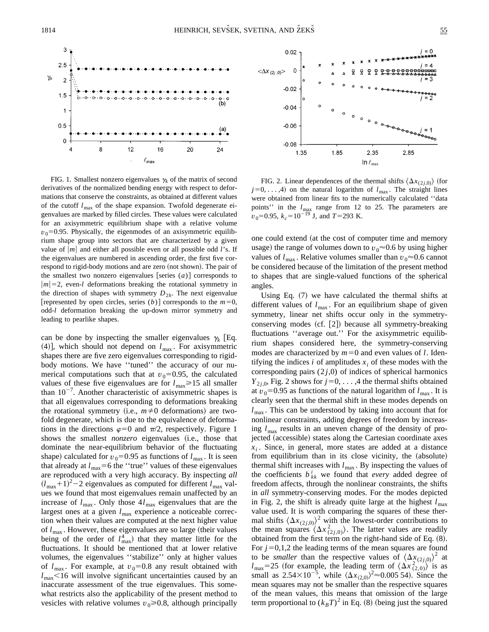

FIG. 1. Smallest nonzero eigenvalues  $\gamma_k$  of the matrix of second derivatives of the normalized bending energy with respect to deformations that conserve the constraints, as obtained at different values of the cutoff *l*max of the shape expansion. Twofold degenerate eigenvalues are marked by filled circles. These values were calculated for an axisymmetric equilibrium shape with a relative volume  $v_0$ =0.95. Physically, the eigenmodes of an axisymmetric equilibrium shape group into sectors that are characterized by a given value of  $|m|$  and either all possible even or all possible odd *l*'s. If the eigenvalues are numbered in ascending order, the first five correspond to rigid-body motions and are zero (not shown). The pair of the smallest two nonzero eigenvalues [series  $(a)$ ] corresponds to  $|m|=2$ , even-*l* deformations breaking the rotational symmetry in the direction of shapes with symmetry  $D_{2h}$ . The next eigenvalue [represented by open circles, series  $(b)$ ] corresponds to the  $m=0$ , odd-*l* deformation breaking the up-down mirror symmetry and leading to pearlike shapes.

can be done by inspecting the smaller eigenvalues  $\gamma_k$  [Eq.  $(4)$ , which should not depend on  $l_{\text{max}}$ . For axisymmetric shapes there are five zero eigenvalues corresponding to rigidbody motions. We have ''tuned'' the accuracy of our numerical computations such that at  $v_0=0.95$ , the calculated values of these five eigenvalues are for  $l_{\text{max}} \geq 15$  all smaller than  $10^{-7}$ . Another characteristic of axisymmetric shapes is that all eigenvalues corresponding to deformations breaking the rotational symmetry (i.e.,  $m \neq 0$  deformations) are twofold degenerate, which is due to the equivalence of deformations in the directions  $\varphi=0$  and  $\pi/2$ , respectively. Figure 1 shows the smallest *nonzero* eigenvalues (i.e., those that dominate the near-equilibrium behavior of the fluctuating shape) calculated for  $v_0=0.95$  as functions of  $l_{\text{max}}$ . It is seen that already at  $l_{\text{max}}=6$  the "true" values of these eigenvalues are reproduced with a very high accuracy. By inspecting *all*  $(l_{\text{max}}+1)^2$  eigenvalues as computed for different  $l_{\text{max}}$  values we found that most eigenvalues remain unaffected by an increase of  $l_{\text{max}}$ . Only those  $4l_{\text{max}}$  eigenvalues that are the largest ones at a given  $l_{\text{max}}$  experience a noticeable correction when their values are computed at the next higher value of  $l_{\text{max}}$ . However, these eigenvalues are so large (their values being of the order of  $l_{\text{max}}^4$  that they matter little for the fluctuations. It should be mentioned that at lower relative volumes, the eigenvalues ''stabilize'' only at higher values of  $l_{\text{max}}$ . For example, at  $v_0=0.8$  any result obtained with  $l_{\text{max}}$  <16 will involve significant uncertainties caused by an inaccurate assessment of the true eigenvalues. This somewhat restricts also the applicability of the present method to vesicles with relative volumes  $v_0 \ge 0.8$ , although principally



FIG. 2. Linear dependences of the thermal shifts  $\langle \Delta x_{(2j,0)} \rangle$  (for  $j=0, \ldots, 4$  on the natural logarithm of  $l_{\text{max}}$ . The straight lines were obtained from linear fits to the numerically calculated ''data points'' in the *l*<sub>max</sub> range from 12 to 25. The parameters are  $v_0$ =0.95,  $k_c$ =10<sup>-19</sup> J, and *T*=293 K.

one could extend (at the cost of computer time and memory usage) the range of volumes down to  $v_0 \approx 0.6$  by using higher values of  $l_{\text{max}}$ . Relative volumes smaller than  $v_0 \approx 0.6$  cannot be considered because of the limitation of the present method to shapes that are single-valued functions of the spherical angles.

Using Eq.  $(7)$  we have calculated the thermal shifts at different values of  $l_{\text{max}}$ . For an equilibrium shape of given symmetry, linear net shifts occur only in the symmetryconserving modes  $(cf. [2])$  because all symmetry-breaking fluctuations ''average out.'' For the axisymmetric equilibrium shapes considered here, the symmetry-conserving modes are characterized by  $m=0$  and even values of *l*. Identifying the indices  $i$  of amplitudes  $x_i$  of these modes with the corresponding pairs  $(2j,0)$  of indices of spherical harmonics  $Y_{2j,0}$ , Fig. 2 shows for  $j=0, \ldots, 4$  the thermal shifts obtained at  $v_0$ =0.95 as functions of the natural logarithm of  $l_{\text{max}}$ . It is clearly seen that the thermal shift in these modes depends on  $l_{\text{max}}$ . This can be understood by taking into account that for nonlinear constraints, adding degrees of freedom by increasing *l*max results in an uneven change of the density of projected (accessible) states along the Cartesian coordinate axes  $x_i$ . Since, in general, more states are added at a distance from equilibrium than in its close vicinity, the (absolute) thermal shift increases with  $l_{\text{max}}$ . By inspecting the values of the coefficients  $b_{kk}^{i}$  we found that *every* added degree of freedom affects, through the nonlinear constraints, the shifts in *all* symmetry-conserving modes. For the modes depicted in Fig. 2, the shift is already quite large at the highest  $l_{\text{max}}$ value used. It is worth comparing the squares of these thermal shifts  $\langle \Delta x_{(2j,0)} \rangle^2$  with the lowest-order contributions to the mean squares  $\langle \Delta x_{(2j,0)}^2 \rangle$ . The latter values are readily obtained from the first term on the right-hand side of Eq.  $(8)$ . For  $j=0,1,2$  the leading terms of the mean squares are found to be *smaller* than the respective values of  $\langle \Delta_{x(2j,0)}^x \rangle^2$  at  $l_{\text{max}}=25$  (for example, the leading term of  $\langle \Delta x \frac{2}{(2,0)} \rangle$  is as small as  $2.54\times10^{-5}$ , while  $\langle \Delta x_{(2,0)} \rangle^2 \approx 0.005$  54). Since the mean squares may not be smaller than the respective squares of the mean values, this means that omission of the large term proportional to  $(k_B T)^2$  in Eq. (8) (being just the squared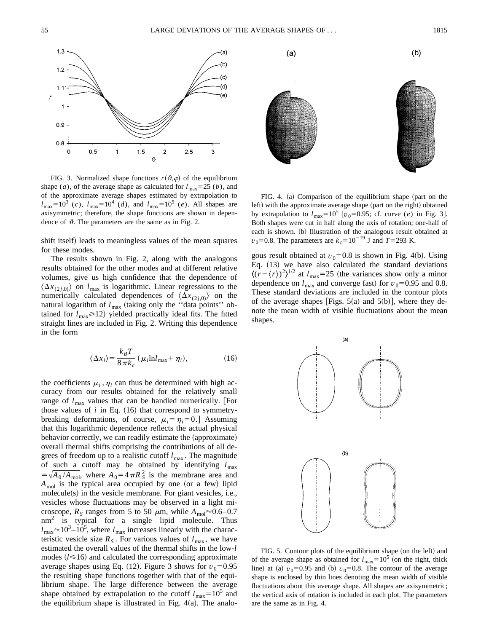

FIG. 3. Normalized shape functions  $r(\vartheta,\varphi)$  of the equilibrium shape (*a*), of the average shape as calculated for  $l_{\text{max}}=25$  (*b*), and of the approximate average shapes estimated by extrapolation to  $l_{\text{max}}=10^3$  (*c*),  $l_{\text{max}}=10^4$  (*d*), and  $l_{\text{max}}=10^5$  (*e*). All shapes are axisymmetric; therefore, the shape functions are shown in dependence of  $\vartheta$ . The parameters are the same as in Fig. 2.

shift itself) leads to meaningless values of the mean squares for these modes.

The results shown in Fig. 2, along with the analogous results obtained for the other modes and at different relative volumes, give us high confidence that the dependence of  $\langle \Delta x_{(2j,0)} \rangle$  on  $l_{\text{max}}$  is logarithmic. Linear regressions to the numerically calculated dependences of  $\langle \Delta x_{(2 i,0)} \rangle$  on the natural logarithm of  $l_{\text{max}}$  (taking only the "data points" obtained for  $l_{\text{max}} \ge 12$ ) yielded practically ideal fits. The fitted straight lines are included in Fig. 2. Writing this dependence in the form

$$
\langle \Delta x_i \rangle = \frac{k_B T}{8 \pi k_c} \left( \mu_i \text{ln} l_{\text{max}} + \eta_i \right),\tag{16}
$$

the coefficients  $\mu_i$ ,  $\eta_i$  can thus be determined with high accuracy from our results obtained for the relatively small range of  $l_{\text{max}}$  values that can be handled numerically. [For those values of  $i$  in Eq.  $(16)$  that correspond to symmetrybreaking deformations, of course,  $\mu_i = \eta_i = 0$ . Assuming that this logarithmic dependence reflects the actual physical behavior correctly, we can readily estimate the (approximate) overall thermal shifts comprising the contributions of all degrees of freedom up to a realistic cutoff  $l_{\text{max}}$ . The magnitude of such a cutoff may be obtained by identifying *l*max  $=\sqrt{A_0 / A_{\text{mol}}}$ , where  $A_0 = 4 \pi R_S^2$  is the membrane area and  $A_{mol}$  is the typical area occupied by one (or a few) lipid molecule $(s)$  in the vesicle membrane. For giant vesicles, i.e., vesicles whose fluctuations may be observed in a light microscope,  $R<sub>S</sub>$  ranges from 5 to 50  $\mu$ m, while  $A<sub>mol</sub> \approx 0.6$ –0.7  $nm<sup>2</sup>$  is typical for a single lipid molecule. Thus  $l_{\text{max}} \approx 10^3 - 10^5$ , where  $l_{\text{max}}$  increases linearly with the characteristic vesicle size  $R<sub>S</sub>$ . For various values of  $l<sub>max</sub>$ , we have estimated the overall values of the thermal shifts in the low-*l* modes  $(l \le 16)$  and calculated the corresponding approximate average shapes using Eq.  $(12)$ . Figure 3 shows for  $v_0=0.95$ the resulting shape functions together with that of the equilibrium shape. The large difference between the average shape obtained by extrapolation to the cutoff  $l_{\text{max}}=10^5$  and the equilibrium shape is illustrated in Fig.  $4(a)$ . The analo-



FIG. 4. (a) Comparison of the equilibrium shape (part on the left) with the approximate average shape (part on the right) obtained by extrapolation to  $l_{\text{max}}=10^5$  [ $v_0=0.95$ ; cf. curve (*e*) in Fig. 3]. Both shapes were cut in half along the axis of rotation; one-half of each is shown. (b) Illustration of the analogous result obtained at  $v_0$ =0.8. The parameters are  $k_c$ =10<sup>-19</sup> J and *T*=293 K.

gous result obtained at  $v_0=0.8$  is shown in Fig. 4(b). Using Eq.  $(13)$  we have also calculated the standard deviations  $\langle (r - \langle r \rangle)^2 \rangle^{1/2}$  at  $l_{\text{max}} = 25$  (the variances show only a minor dependence on  $l_{\text{max}}$  and converge fast) for  $v_0=0.95$  and 0.8. These standard deviations are included in the contour plots of the average shapes [Figs.  $5(a)$  and  $5(b)$ ], where they denote the mean width of visible fluctuations about the mean shapes.



FIG. 5. Contour plots of the equilibrium shape (on the left) and of the average shape as obtained for  $l_{\text{max}}=10^5$  (on the right, thick line) at (a)  $v_0=0.95$  and (b)  $v_0=0.8$ . The contour of the average shape is enclosed by thin lines denoting the mean width of visible fluctuations about this average shape. All shapes are axisymmetric; the vertical axis of rotation is included in each plot. The parameters are the same as in Fig. 4.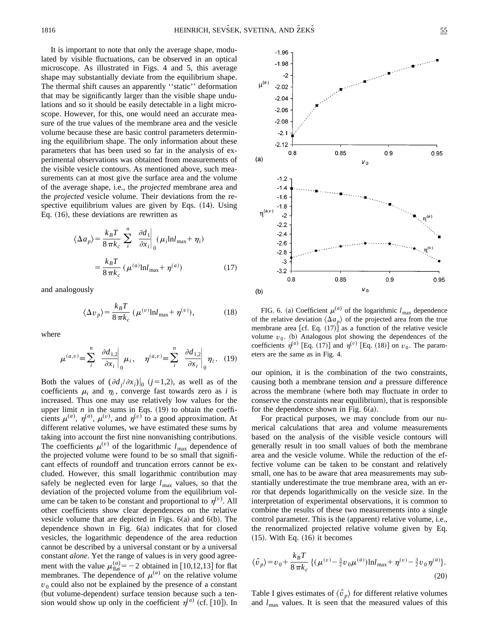It is important to note that only the average shape, modulated by visible fluctuations, can be observed in an optical microscope. As illustrated in Figs. 4 and 5, this average shape may substantially deviate from the equilibrium shape. The thermal shift causes an apparently ''static'' deformation that may be significantly larger than the visible shape undulations and so it should be easily detectable in a light microscope. However, for this, one would need an accurate measure of the true values of the membrane area and the vesicle volume because these are basic control parameters determining the equilibrium shape. The only information about these parameters that has been used so far in the analysis of experimental observations was obtained from measurements of the visible vesicle contours. As mentioned above, such measurements can at most give the surface area and the volume of the average shape, i.e., the *projected* membrane area and the *projected* vesicle volume. Their deviations from the respective equilibrium values are given by Eqs.  $(14)$ . Using Eq.  $(16)$ , these deviations are rewritten as

$$
\langle \Delta a_p \rangle = \frac{k_B T}{8 \pi k_c} \sum_{i}^{n} \left. \frac{\partial d_1}{\partial x_i} \right|_0 (\mu_i \ln l_{\text{max}} + \eta_i)
$$

$$
= \frac{k_B T}{8 \pi k_c} (\mu^{(a)} \ln l_{\text{max}} + \eta^{(a)}) \tag{17}
$$

and analogously

$$
\langle \Delta v_p \rangle = \frac{k_B T}{8 \pi k_c} \left( \mu^{(v)} \text{ln} l_{\text{max}} + \eta^{(v)} \right),\tag{18}
$$

where

$$
\mu^{(a,v)} \equiv \sum_{i}^{n} \left. \frac{\partial d_{1,2}}{\partial x_{i}} \right|_{0} \mu_{i}, \quad \eta^{(a,v)} \equiv \sum_{i}^{n} \left. \frac{\partial d_{1,2}}{\partial x_{i}} \right|_{0} \eta_{i}. \quad (19)
$$

Both the values of  $(\partial d_j/\partial x_i)|_0$  (*j*=1,2), as well as of the coefficients  $\mu_i$  and  $\eta_i$ , converge fast towards zero as *i* is increased. Thus one may use relatively low values for the upper limit  $n$  in the sums in Eqs.  $(19)$  to obtain the coefficients  $\mu^{(a)}$ ,  $\eta^{(a)}$ ,  $\mu^{(v)}$ , and  $\eta^{(v)}$  to a good approximation. At different relative volumes, we have estimated these sums by taking into account the first nine nonvanishing contributions. The coefficients  $\mu^{(v)}$  of the logarithmic  $l_{\text{max}}$  dependence of the projected volume were found to be so small that significant effects of roundoff and truncation errors cannot be excluded. However, this small logarithmic contribution may safely be neglected even for large  $l_{\text{max}}$  values, so that the deviation of the projected volume from the equilibrium volume can be taken to be constant and proportional to  $\eta^{(v)}$ . All other coefficients show clear dependences on the relative vesicle volume that are depicted in Figs.  $6(a)$  and  $6(b)$ . The dependence shown in Fig.  $6(a)$  indicates that for closed vesicles, the logarithmic dependence of the area reduction cannot be described by a universal constant or by a universal constant *alone*. Yet the range of values is in very good agreement with the value  $\mu_{\text{flat}}^{(a)} = -2$  obtained in [10,12,13] for flat membranes. The dependence of  $\mu^{(a)}$  on the relative volume  $v<sub>0</sub>$  could also not be explained by the presence of a constant (but volume-dependent) surface tension because such a tension would show up only in the coefficient  $\eta^{(a)}$  (cf. [10]). In



FIG. 6. (a) Coefficient  $\mu^{(a)}$  of the logarithmic  $l_{\text{max}}$  dependence of the relative deviation  $\langle \Delta a_p \rangle$  of the projected area from the true membrane area  $[cf. Eq. (17)]$  as a function of the relative vesicle volume  $v_0$ . (b) Analogous plot showing the dependences of the coefficients  $\eta^{(a)}$  [Eq. (17)] and  $\eta^{(v)}$  [Eq. (18)] on  $v_0$ . The parameters are the same as in Fig. 4.

our opinion, it is the combination of the two constraints, causing both a membrane tension *and* a pressure difference across the membrane (where both may fluctuate in order to conserve the constraints near equilibrium), that is responsible for the dependence shown in Fig.  $6(a)$ .

For practical purposes, we may conclude from our numerical calculations that area and volume measurements based on the analysis of the visible vesicle contours will generally result in too small values of both the membrane area and the vesicle volume. While the reduction of the effective volume can be taken to be constant and relatively small, one has to be aware that area measurements may substantially underestimate the true membrane area, with an error that depends logarithmically on the vesicle size. In the interpretation of experimental observations, it is common to combine the results of these two measurements into a single control parameter. This is the (apparent) relative volume, i.e., the renormalized projected relative volume given by Eq.  $(15)$ . With Eq.  $(16)$  it becomes

$$
\langle \hat{v}_p \rangle = v_0 + \frac{k_B T}{8 \pi k_c} \{ (\mu^{(v)} - \frac{3}{2} v_0 \mu^{(a)}) \ln l_{\text{max}} + \eta^{(v)} - \frac{3}{2} v_0 \eta^{(a)} \}.
$$
\n(20)

Table I gives estimates of  $\langle \hat{v}_p \rangle$  for different relative volumes and  $l_{\text{max}}$  values. It is seen that the measured values of this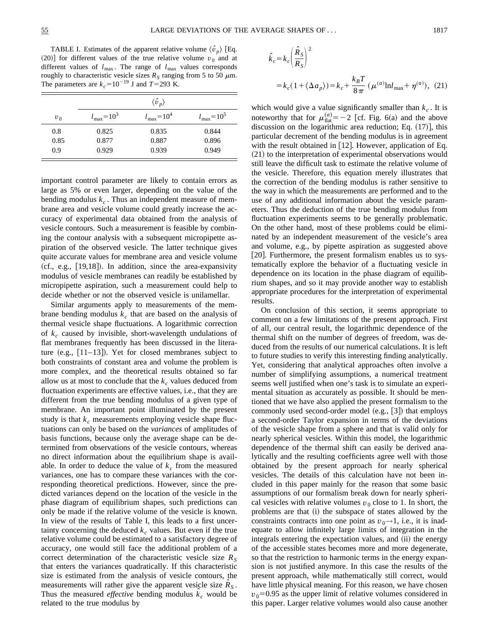TABLE I. Estimates of the apparent relative volume  $\langle \hat{v}_p \rangle$  [Eq.  $(20)$ ] for different values of the true relative volume  $v_0$  and at

|       | $\langle{\hat v}_p\rangle$ |                         |                         |
|-------|----------------------------|-------------------------|-------------------------|
| $v_0$ | $l_{\text{max}} = 10^3$    | $l_{\text{max}} = 10^4$ | $l_{\text{max}} = 10^5$ |
| 0.8   | 0.825                      | 0.835                   | 0.844                   |
| 0.85  | 0.877                      | 0.887                   | 0.896                   |
| 0.9   | 0.929                      | 0.939                   | 0.949                   |

important control parameter are likely to contain errors as large as 5% or even larger, depending on the value of the bending modulus  $k_c$ . Thus an independent measure of membrane area and vesicle volume could greatly increase the accuracy of experimental data obtained from the analysis of vesicle contours. Such a measurement is feasible by combining the contour analysis with a subsequent micropipette aspiration of the observed vesicle. The latter technique gives quite accurate values for membrane area and vesicle volume  $(cf., e.g., [19,18]$ . In addition, since the area-expansivity modulus of vesicle membranes can readily be established by micropipette aspiration, such a measurement could help to decide whether or not the observed vesicle is unilamellar.

Similar arguments apply to measurements of the membrane bending modulus  $k_c$  that are based on the analysis of thermal vesicle shape fluctuations. A logarithmic correction of *kc* caused by invisible, short-wavelength undulations of flat membranes frequently has been discussed in the literature (e.g.,  $[11-13]$ ). Yet for closed membranes subject to both constraints of constant area and volume the problem is more complex, and the theoretical results obtained so far allow us at most to conclude that the  $k_c$  values deduced from fluctuation experiments are effective values, i.e., that they are different from the true bending modulus of a given type of membrane. An important point illuminated by the present study is that  $k_c$  measurements employing vesicle shape fluctuations can only be based on the *variances* of amplitudes of basis functions, because only the average shape can be determined from observations of the vesicle contours, whereas no direct information about the equilibrium shape is available. In order to deduce the value of  $k_c$  from the measured variances, one has to compare these variances with the corresponding theoretical predictions. However, since the predicted variances depend on the location of the vesicle in the phase diagram of equilibrium shapes, such predictions can only be made if the relative volume of the vesicle is known. In view of the results of Table I, this leads to a first uncertainty concerning the deduced  $k_c$  values. But even if the true relative volume could be estimated to a satisfactory degree of accuracy, one would still face the additional problem of a correct determination of the characteristic vesicle size  $R<sub>S</sub>$ that enters the variances quadratically. If this characteristic size is estimated from the analysis of vesicle contours, the measurements will rather give the apparent vesicle size  $\hat{R}_s$ . Thus the measured *effective* bending modulus  $\hat{k}_c$  would be related to the true modulus by

$$
\hat{k}_c = k_c \left(\frac{\hat{R}_S}{R_S}\right)^2
$$
  
=  $k_c (1 + \langle \Delta a_p \rangle) = k_c + \frac{k_B T}{8 \pi} (\mu^{(a)} \ln l_{\text{max}} + \eta^{(a)}),$  (21)

which would give a value significantly smaller than  $k_c$ . It is noteworthy that for  $\mu_{\text{flat}}^{(a)} = -2$  [cf. Fig. 6(a) and the above discussion on the logarithmic area reduction; Eq.  $(17)$ ], this particular decrement of the bending modulus is in agreement with the result obtained in  $[12]$ . However, application of Eq.  $(21)$  to the interpretation of experimental observations would still leave the difficult task to estimate the relative volume of the vesicle. Therefore, this equation merely illustrates that the correction of the bending modulus is rather sensitive to the way in which the measurements are performed and to the use of any additional information about the vesicle parameters. Thus the deduction of the true bending modulus from fluctuation experiments seems to be generally problematic. On the other hand, most of these problems could be eliminated by an independent measurement of the vesicle's area and volume, e.g., by pipette aspiration as suggested above [20]. Furthermore, the present formalism enables us to systematically explore the behavior of a fluctuating vesicle in dependence on its location in the phase diagram of equilibrium shapes, and so it may provide another way to establish appropriate procedures for the interpretation of experimental results.

On conclusion of this section, it seems appropriate to comment on a few limitations of the present approach. First of all, our central result, the logarithmic dependence of the thermal shift on the number of degrees of freedom, was deduced from the results of our numerical calculations. It is left to future studies to verify this interesting finding analytically. Yet, considering that analytical approaches often involve a number of simplifying assumptions, a numerical treatment seems well justified when one's task is to simulate an experimental situation as accurately as possible. It should be mentioned that we have also applied the present formalism to the commonly used second-order model  $(e.g., [3])$  that employs a second-order Taylor expansion in terms of the deviations of the vesicle shape from a sphere and that is valid only for nearly spherical vesicles. Within this model, the logarithmic dependence of the thermal shift can easily be derived analytically and the resulting coefficients agree well with those obtained by the present approach for nearly spherical vesicles. The details of this calculation have not been included in this paper mainly for the reason that some basic assumptions of our formalism break down for nearly spherical vesicles with relative volumes  $v_0$  close to 1. In short, the problems are that (i) the subspace of states allowed by the constraints contracts into one point as  $v_0 \rightarrow 1$ , i.e., it is inadequate to allow infinitely large limits of integration in the integrals entering the expectation values, and (ii) the energy of the accessible states becomes more and more degenerate, so that the restriction to harmonic terms in the energy expansion is not justified anymore. In this case the results of the present approach, while mathematically still correct, would have little physical meaning. For this reason, we have chosen  $v_0$ =0.95 as the upper limit of relative volumes considered in this paper. Larger relative volumes would also cause another